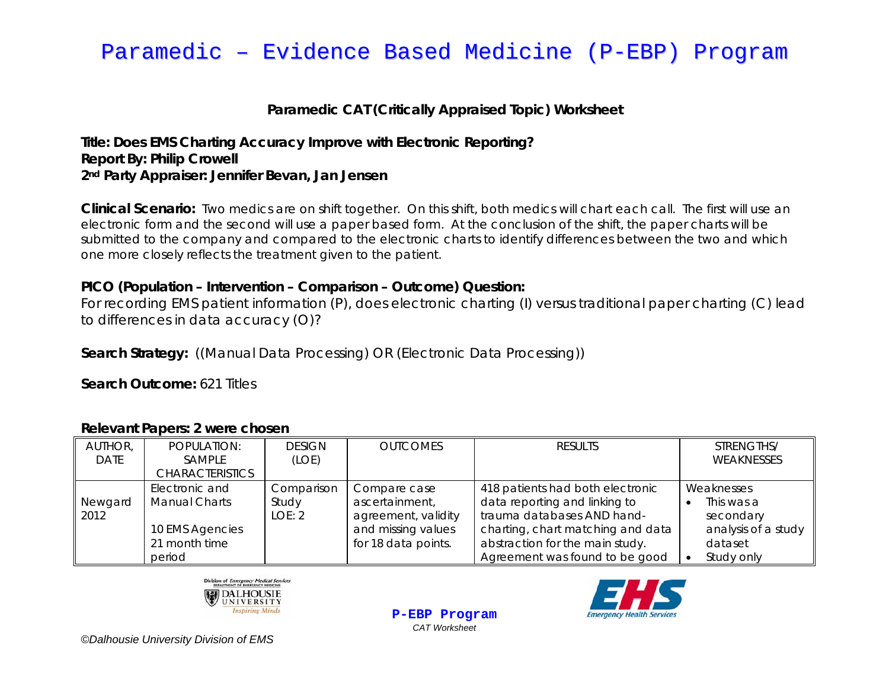# Paramedic – Evidence Based Medicine (P-EBP) Program

## **Paramedic CAT (Critically Appraised Topic) Worksheet**

### **Title: Does EMS Charting Accuracy Improve with Electronic Reporting? Report By: Philip Crowell 2nd Party Appraiser: Jennifer Bevan, Jan Jensen**

**Clinical Scenario:** Two medics are on shift together. On this shift, both medics will chart each call. The first will use an electronic form and the second will use a paper based form. At the conclusion of the shift, the paper charts will be submitted to the company and compared to the electronic charts to identify differences between the two and which one more closely reflects the treatment given to the patient.

### **PICO (Population – Intervention – Comparison – Outcome) Question:**

For recording EMS patient information (P), does electronic charting (I) versus traditional paper charting (C) lead to differences in data accuracy (O)?

**Search Strategy:** ((Manual Data Processing) OR (Electronic Data Processing))

**Search Outcome: 621 Titles** 

### AUTHOR, DATE POPULATION: SAMPLE **CHARACTERISTICS** DESIGN (LOE) OUTCOMES I RESULTS I STRENGTHS/ WEAKNESSES Newgard 2012 Electronic and Manual Charts 10 EMS Agencies 21 month time period Comparison Study LOE: 2 Compare case ascertainment, agreement, validity and missing values for 18 data points. 418 patients had both electronic data reporting and linking to trauma databases AND handcharting, chart matching and data abstraction for the main study. Agreement was found to be good Weaknesses • This was a secondary analysis of a study dataset •Study only

**P-EBP Program** *CAT Worksheet* 





*©Dalhousie University Division of EMS*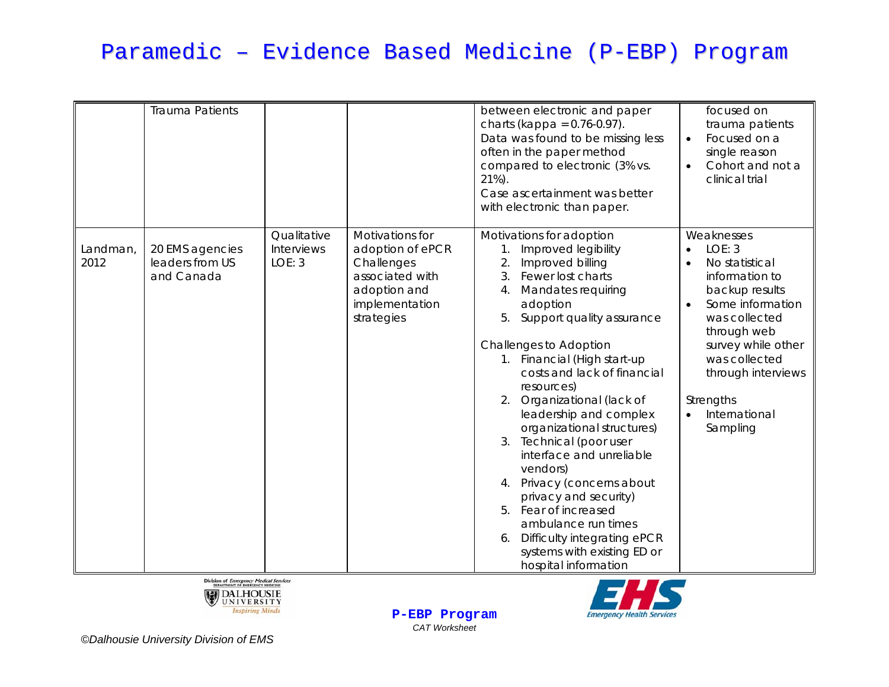# Paramedic – Evidence Based Medicine (P-EBP) Program

|                  | <b>Trauma Patients</b>                           |                                     |                                                                                                                      | between electronic and paper<br>charts (kappa = $0.76 - 0.97$ ).<br>Data was found to be missing less<br>often in the paper method<br>compared to electronic (3% vs.<br>$21\%$ ).<br>Case ascertainment was better<br>with electronic than paper.                                                                                                                                                                                                                                                                                                                                                                                                                                           | focused on<br>trauma patients<br>Focused on a<br>$\bullet$<br>single reason<br>Cohort and not a<br>$\bullet$<br>clinical trial                                                                                                                                                            |
|------------------|--------------------------------------------------|-------------------------------------|----------------------------------------------------------------------------------------------------------------------|---------------------------------------------------------------------------------------------------------------------------------------------------------------------------------------------------------------------------------------------------------------------------------------------------------------------------------------------------------------------------------------------------------------------------------------------------------------------------------------------------------------------------------------------------------------------------------------------------------------------------------------------------------------------------------------------|-------------------------------------------------------------------------------------------------------------------------------------------------------------------------------------------------------------------------------------------------------------------------------------------|
| Landman,<br>2012 | 20 EMS agencies<br>leaders from US<br>and Canada | Qualitative<br>Interviews<br>LOE: 3 | Motivations for<br>adoption of ePCR<br>Challenges<br>associated with<br>adoption and<br>implementation<br>strategies | Motivations for adoption<br>Improved legibility<br>$\mathbf{1}$ .<br>2.<br>Improved billing<br>3.<br>Fewer lost charts<br><b>Mandates requiring</b><br>4 <sub>1</sub><br>adoption<br>5.<br>Support quality assurance<br>Challenges to Adoption<br>1. Financial (High start-up<br>costs and lack of financial<br>resources)<br>Organizational (lack of<br>2.<br>leadership and complex<br>organizational structures)<br>3. Technical (poor user<br>interface and unreliable<br>vendors)<br>Privacy (concerns about<br>4.<br>privacy and security)<br>5. Fear of increased<br>ambulance run times<br>Difficulty integrating ePCR<br>6.<br>systems with existing ED or<br>hospital information | Weaknesses<br>LOE: 3<br>$\bullet$<br>No statistical<br>$\bullet$<br>information to<br>backup results<br>Some information<br>$\bullet$<br>was collected<br>through web<br>survey while other<br>was collected<br>through interviews<br>Strengths<br>International<br>$\bullet$<br>Sampling |





Division of Emergency Medical Services DALHOUSIE **Inspiring Minds** 

**P-EBP Program** *CAT Worksheet*